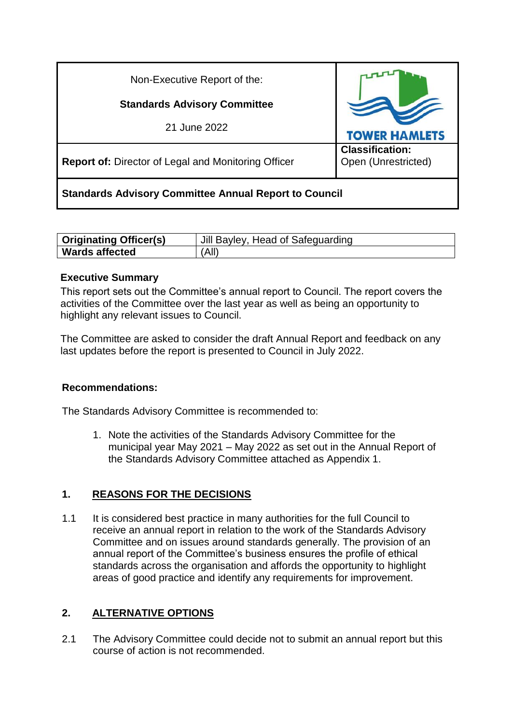| Non-Executive Report of the:                                 |                                               |
|--------------------------------------------------------------|-----------------------------------------------|
| <b>Standards Advisory Committee</b>                          |                                               |
| 21 June 2022                                                 | <b>TOWER HAMLETS</b>                          |
| <b>Report of: Director of Legal and Monitoring Officer</b>   | <b>Classification:</b><br>Open (Unrestricted) |
| <b>Standards Advisory Committee Annual Report to Council</b> |                                               |

| <b>Originating Officer(s)</b> | Jill Bayley, Head of Safeguarding |
|-------------------------------|-----------------------------------|
| <b>Wards affected</b>         | (All)                             |

### **Executive Summary**

This report sets out the Committee's annual report to Council. The report covers the activities of the Committee over the last year as well as being an opportunity to highlight any relevant issues to Council.

The Committee are asked to consider the draft Annual Report and feedback on any last updates before the report is presented to Council in July 2022.

## **Recommendations:**

The Standards Advisory Committee is recommended to:

1. Note the activities of the Standards Advisory Committee for the municipal year May 2021 – May 2022 as set out in the Annual Report of the Standards Advisory Committee attached as Appendix 1.

## **1. REASONS FOR THE DECISIONS**

1.1 It is considered best practice in many authorities for the full Council to receive an annual report in relation to the work of the Standards Advisory Committee and on issues around standards generally. The provision of an annual report of the Committee's business ensures the profile of ethical standards across the organisation and affords the opportunity to highlight areas of good practice and identify any requirements for improvement.

#### **2. ALTERNATIVE OPTIONS**

2.1 The Advisory Committee could decide not to submit an annual report but this course of action is not recommended.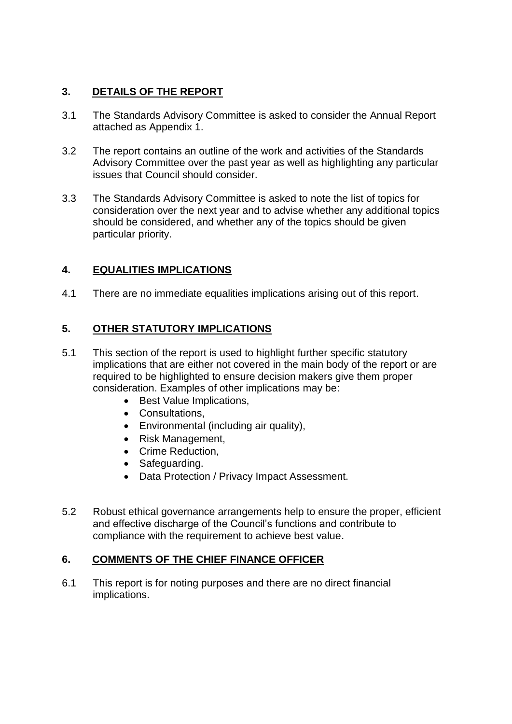## **3. DETAILS OF THE REPORT**

- 3.1 The Standards Advisory Committee is asked to consider the Annual Report attached as Appendix 1.
- 3.2 The report contains an outline of the work and activities of the Standards Advisory Committee over the past year as well as highlighting any particular issues that Council should consider.
- 3.3 The Standards Advisory Committee is asked to note the list of topics for consideration over the next year and to advise whether any additional topics should be considered, and whether any of the topics should be given particular priority.

# **4. EQUALITIES IMPLICATIONS**

4.1 There are no immediate equalities implications arising out of this report.

# **5. OTHER STATUTORY IMPLICATIONS**

- 5.1 This section of the report is used to highlight further specific statutory implications that are either not covered in the main body of the report or are required to be highlighted to ensure decision makers give them proper consideration. Examples of other implications may be:
	- Best Value Implications.
	- Consultations,
	- Environmental (including air quality),
	- Risk Management.
	- Crime Reduction.
	- Safeguarding.
	- Data Protection / Privacy Impact Assessment.
- 5.2 Robust ethical governance arrangements help to ensure the proper, efficient and effective discharge of the Council's functions and contribute to compliance with the requirement to achieve best value.

## **6. COMMENTS OF THE CHIEF FINANCE OFFICER**

6.1 This report is for noting purposes and there are no direct financial implications.